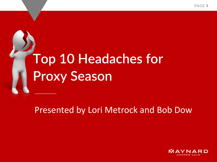## **Top 10 Headaches for Proxy Season**

#### Presented by Lori Metrock and Bob Dow

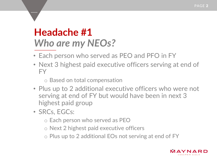#### **Headache #1**  *Who are my NEOs?*

- Each person who served as PEO and PFO in FY
- Next 3 highest paid executive officers serving at end of FY
	- o Based on total compensation
- Plus up to 2 additional executive officers who were not serving at end of FY but would have been in next 3 highest paid group
- SRCs, EGCs:
	- o Each person who served as PEO
	- o Next 2 highest paid executive officers
	- o Plus up to 2 additional EOs not serving at end of FY

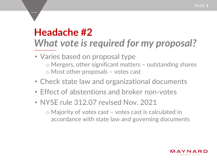### **Headache #2** *What vote is required for my proposal?*

- Varies based on proposal type o Mergers, other significant matters – outstanding shares o Most other proposals – votes cast
- Check state law and organizational documents
- Effect of abstentions and broker non-votes
- NYSE rule 312.07 revised Nov. 2021
	- o Majority of votes cast votes cast is calculated in accordance with state law and governing documents

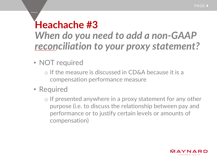#### **Heachache #3** *When do you need to add a non-GAAP reconciliation to your proxy statement?*

- NOT required
	- o If the measure is discussed in CD&A because it is a compensation performance measure
- Required
	- o If presented anywhere in a proxy statement for any other purpose (i.e. to discuss the relationship between pay and performance or to justify certain levels or amounts of compensation)

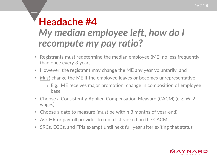#### **Headache #4** *My median employee left, how do I recompute my pay ratio?*

- Registrants must redetermine the median employee (ME) no less frequently than once every 3 years
- However, the registrant may change the ME any year voluntarily, and
- *Must* change the ME if the employee leaves or becomes unrepresentative
	- o E.g.: ME receives major promotion; change in composition of employee base.
- Choose a Consistently Applied Compensation Measure (CACM) (e.g. W-2 wages)
- Choose a date to measure (must be within 3 months of year-end)
- Ask HR or payroll provider to run a list ranked on the CACM
- SRCs, EGCs, and FPIs exempt until next full year after exiting that status

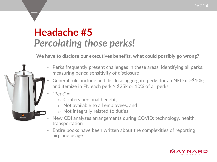#### **Headache #5** *Percolating those perks!*

**We have to disclose our executives benefits, what could possibly go wrong?**

- Perks frequently present challenges in these areas: identifying all perks; measuring perks; sensitivity of disclosure
- General rule: include and disclose aggregate perks for an NEO if >\$10k; and itemize in FN each perk > \$25k or 10% of all perks
- $"Perk" =$ 
	- o Confers personal benefit,
	- o Not available to all employees, and
	- o Not integrally related to duties
- New CDI analyzes arrangements during COVID: technology, health, transportation
- Entire books have been written about the complexities of reporting airplane usage

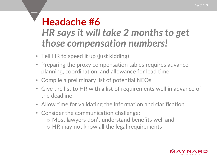#### **Headache #6** *HR says it will take 2 months to get those compensation numbers!*

- Tell HR to speed it up (just kidding)
- Preparing the proxy compensation tables requires advance planning, coordination, and allowance for lead time
- Compile a preliminary list of potential NEOs
- Give the list to HR with a list of requirements well in advance of the deadline
- Allow time for validating the information and clarification
- Consider the communication challenge: o Most lawyers don't understand benefits well and o HR may not know all the legal requirements

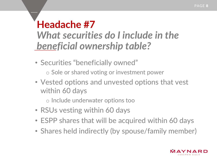#### **Headache #7** *What securities do I include in the beneficial ownership table?*

- Securities "beneficially owned"
	- o Sole or shared voting or investment power
- Vested options and unvested options that vest within 60 days
	- o Include underwater options too
- RSUs vesting within 60 days
- ESPP shares that will be acquired within 60 days
- Shares held indirectly (by spouse/family member)

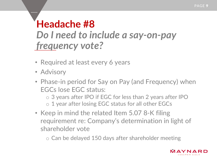#### **Headache #8** *Do I need to include a say-on-pay frequency vote?*

- Required at least every 6 years
- Advisory
- Phase-in period for Say on Pay (and Frequency) when EGCs lose EGC status:
	- o 3 years after IPO if EGC for less than 2 years after IPO
	- o 1 year after losing EGC status for all other EGCs
- Keep in mind the related Item 5.07 8-K filing requirement re: Company's determination in light of shareholder vote

o Can be delayed 150 days after shareholder meeting

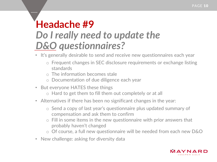#### **Headache #9** *Do I really need to update the D&O questionnaires?*

- It's generally desirable to send and receive new questionnaires each year
	- o Frequent changes in SEC disclosure requirements or exchange listing standards
	- $\circ$  The information becomes stale
	- o Documentation of due diligence each year
- But everyone HATES these things
	- o Hard to get them to fill them out completely or at all
- Alternatives if there has been no significant changes in the year:
	- o Send a copy of last year's questionnaire plus updated summary of compensation and ask them to confirm
	- o Fill in some items in the new questionnaire with prior answers that probably haven't changed
	- o Of course, a full new questionnaire will be needed from each new D&O
- New challenge: asking for diversity data

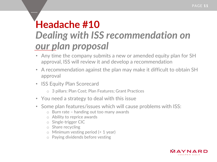#### **Headache #10** *Dealing with ISS recommendation on our plan proposal*

- Any time the company submits a new or amended equity plan for SH approval, ISS will review it and develop a recommendation
- A recommendation against the plan may make it difficult to obtain SH approval
- ISS Equity Plan Scorecard
	- o 3 pillars: Plan Cost; Plan Features; Grant Practices
- You need a strategy to deal with this issue
- Some plan features/issues which will cause problems with ISS:
	- o Burn rate handing out too many awards
	- o Ability to reprice awards
	- o Single-trigger CIC
	- o Share recycling
	- o Minimum vesting period (< 1 year)
	- o Paying dividends before vesting